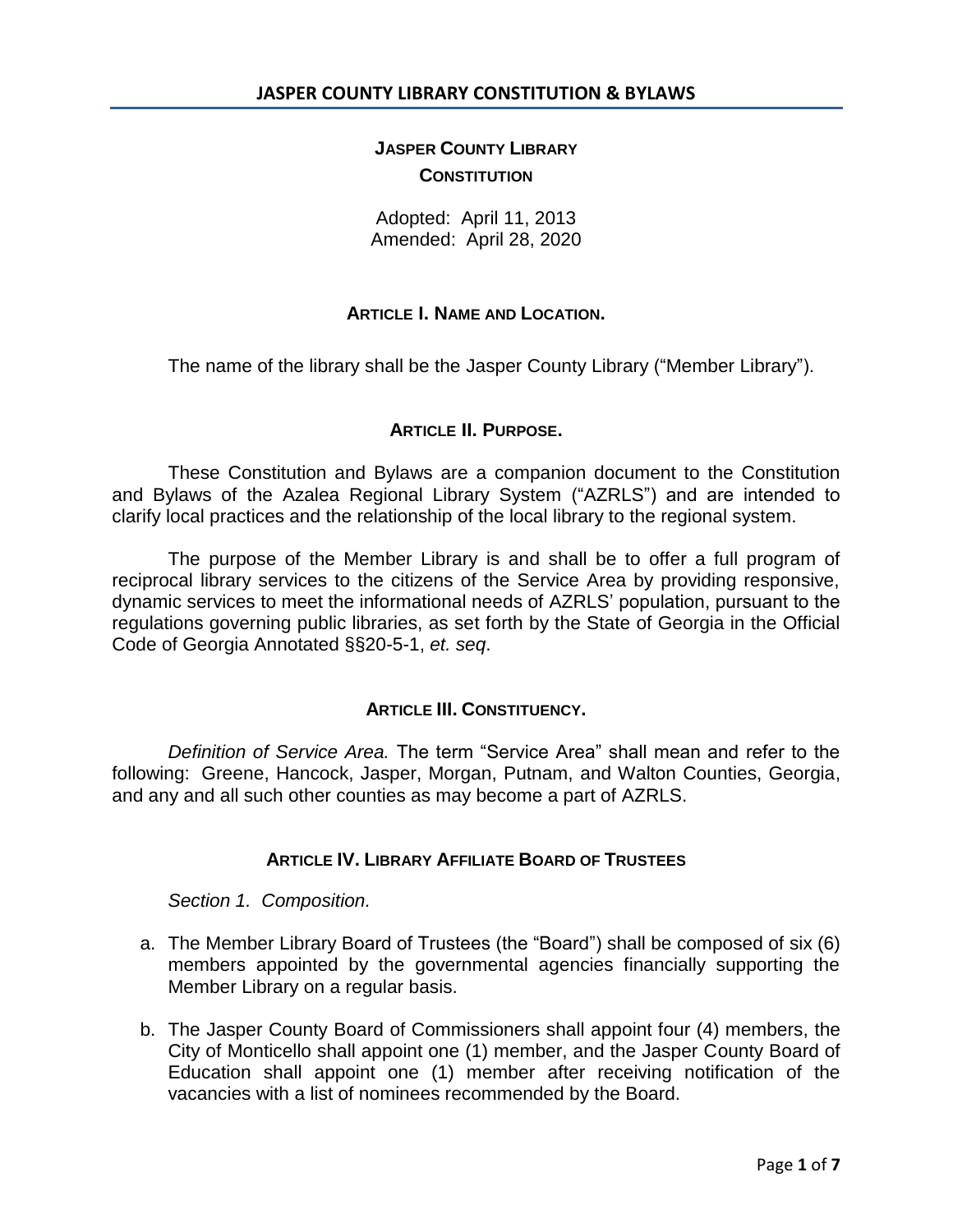# **JASPER COUNTY LIBRARY CONSTITUTION**

Adopted: April 11, 2013 Amended: April 28, 2020

## **ARTICLE I. NAME AND LOCATION.**

The name of the library shall be the Jasper County Library ("Member Library").

## **ARTICLE II. PURPOSE.**

These Constitution and Bylaws are a companion document to the Constitution and Bylaws of the Azalea Regional Library System ("AZRLS") and are intended to clarify local practices and the relationship of the local library to the regional system.

The purpose of the Member Library is and shall be to offer a full program of reciprocal library services to the citizens of the Service Area by providing responsive, dynamic services to meet the informational needs of AZRLS' population, pursuant to the regulations governing public libraries, as set forth by the State of Georgia in the Official Code of Georgia Annotated §§20-5-1, *et. seq*.

### **ARTICLE III. CONSTITUENCY.**

*Definition of Service Area.* The term "Service Area" shall mean and refer to the following: Greene, Hancock, Jasper, Morgan, Putnam, and Walton Counties, Georgia, and any and all such other counties as may become a part of AZRLS.

## **ARTICLE IV. LIBRARY AFFILIATE BOARD OF TRUSTEES**

*Section 1. Composition.* 

- a. The Member Library Board of Trustees (the "Board") shall be composed of six (6) members appointed by the governmental agencies financially supporting the Member Library on a regular basis.
- b. The Jasper County Board of Commissioners shall appoint four (4) members, the City of Monticello shall appoint one (1) member, and the Jasper County Board of Education shall appoint one (1) member after receiving notification of the vacancies with a list of nominees recommended by the Board.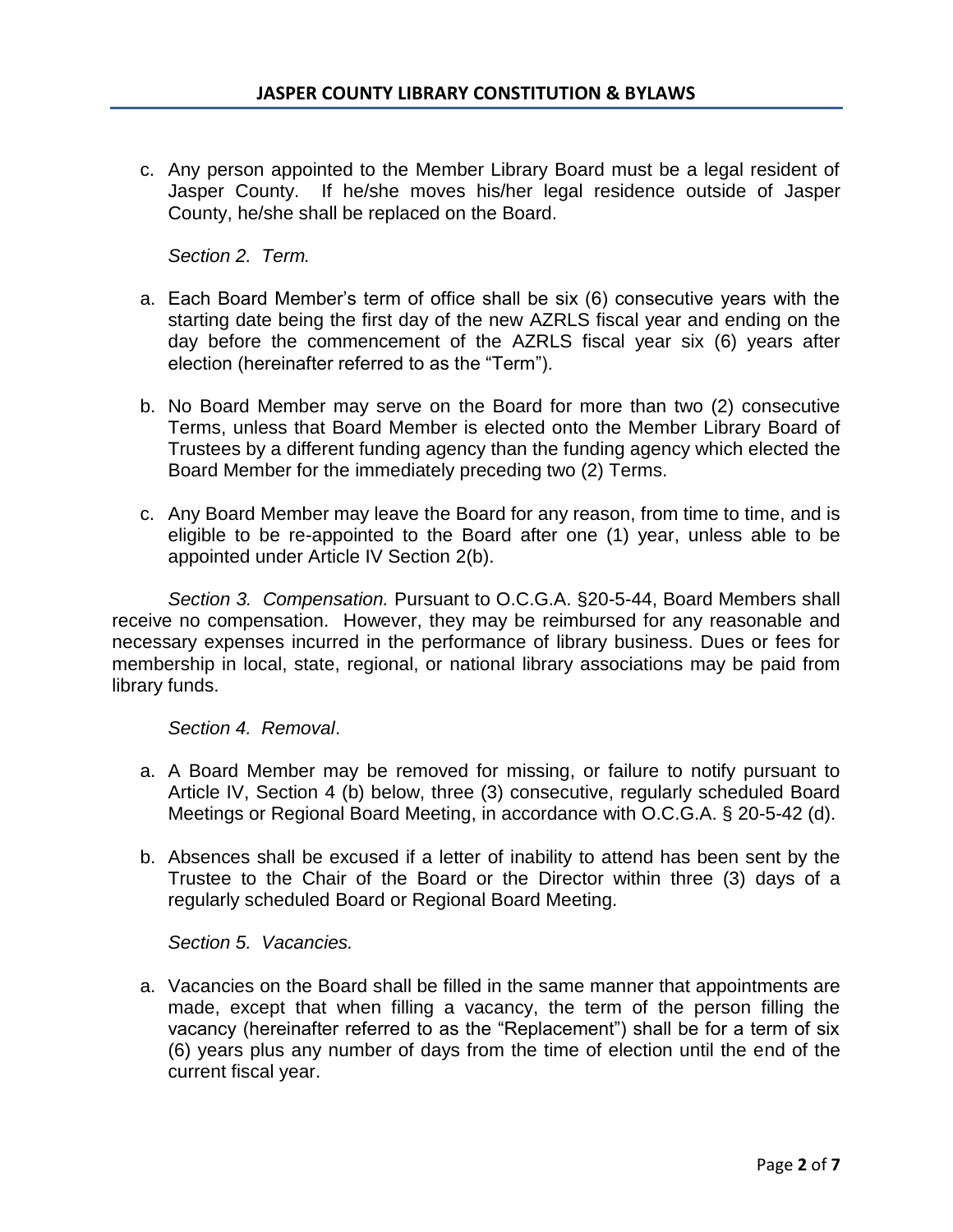c. Any person appointed to the Member Library Board must be a legal resident of Jasper County. If he/she moves his/her legal residence outside of Jasper County, he/she shall be replaced on the Board.

*Section 2. Term.*

- a. Each Board Member's term of office shall be six (6) consecutive years with the starting date being the first day of the new AZRLS fiscal year and ending on the day before the commencement of the AZRLS fiscal year six (6) years after election (hereinafter referred to as the "Term").
- b. No Board Member may serve on the Board for more than two (2) consecutive Terms, unless that Board Member is elected onto the Member Library Board of Trustees by a different funding agency than the funding agency which elected the Board Member for the immediately preceding two (2) Terms.
- c. Any Board Member may leave the Board for any reason, from time to time, and is eligible to be re-appointed to the Board after one (1) year, unless able to be appointed under Article IV Section 2(b).

*Section 3. Compensation.* Pursuant to O.C.G.A. §20-5-44, Board Members shall receive no compensation. However, they may be reimbursed for any reasonable and necessary expenses incurred in the performance of library business. Dues or fees for membership in local, state, regional, or national library associations may be paid from library funds.

*Section 4. Removal*.

- a. A Board Member may be removed for missing, or failure to notify pursuant to Article IV, Section 4 (b) below, three (3) consecutive, regularly scheduled Board Meetings or Regional Board Meeting, in accordance with O.C.G.A. § 20-5-42 (d).
- b. Absences shall be excused if a letter of inability to attend has been sent by the Trustee to the Chair of the Board or the Director within three (3) days of a regularly scheduled Board or Regional Board Meeting.

*Section 5. Vacancies.*

a. Vacancies on the Board shall be filled in the same manner that appointments are made, except that when filling a vacancy, the term of the person filling the vacancy (hereinafter referred to as the "Replacement") shall be for a term of six (6) years plus any number of days from the time of election until the end of the current fiscal year.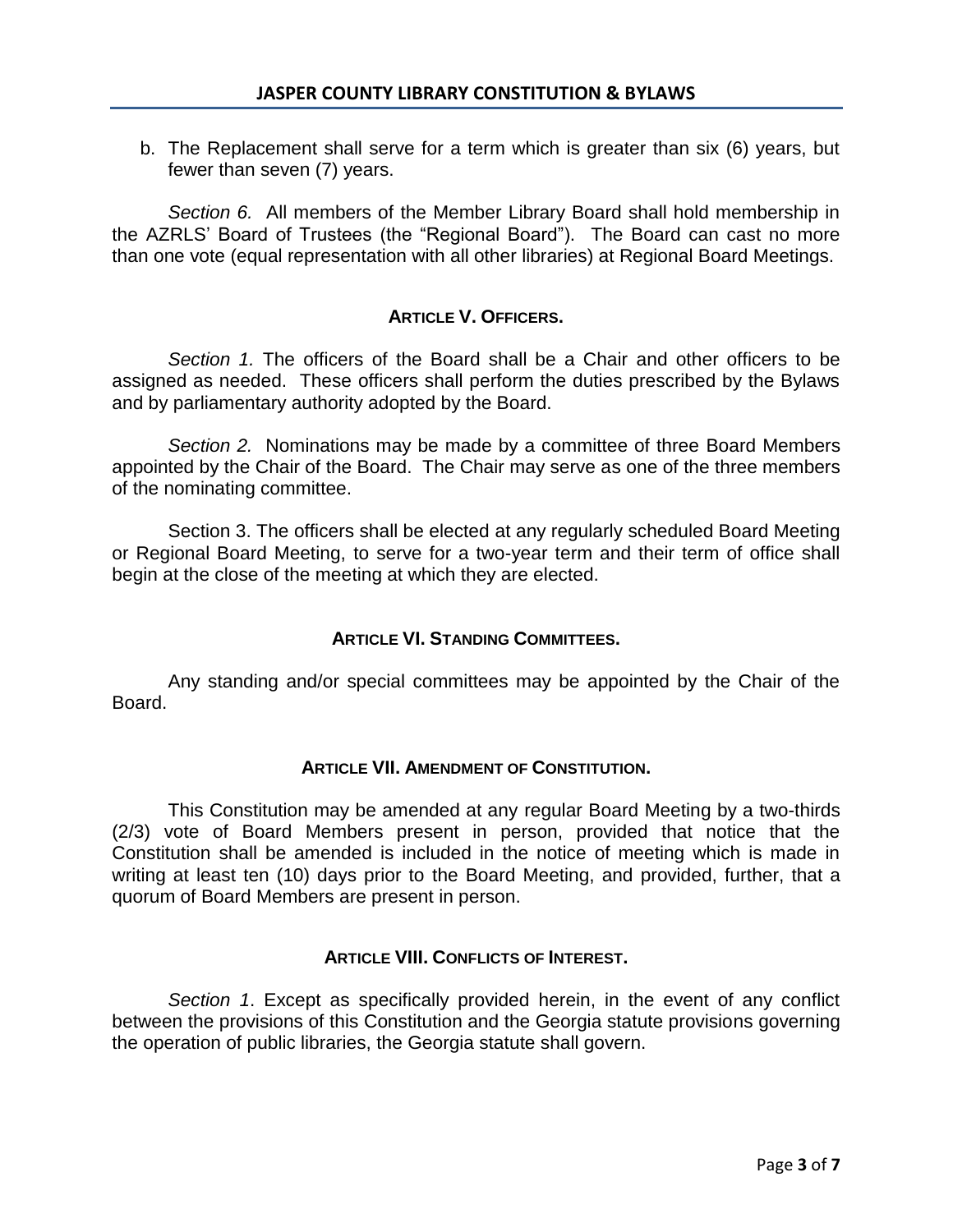b. The Replacement shall serve for a term which is greater than six (6) years, but fewer than seven (7) years.

*Section 6.* All members of the Member Library Board shall hold membership in the AZRLS' Board of Trustees (the "Regional Board"). The Board can cast no more than one vote (equal representation with all other libraries) at Regional Board Meetings.

# **ARTICLE V. OFFICERS.**

*Section 1.* The officers of the Board shall be a Chair and other officers to be assigned as needed. These officers shall perform the duties prescribed by the Bylaws and by parliamentary authority adopted by the Board.

*Section 2.* Nominations may be made by a committee of three Board Members appointed by the Chair of the Board. The Chair may serve as one of the three members of the nominating committee.

Section 3. The officers shall be elected at any regularly scheduled Board Meeting or Regional Board Meeting, to serve for a two-year term and their term of office shall begin at the close of the meeting at which they are elected.

# **ARTICLE VI. STANDING COMMITTEES.**

Any standing and/or special committees may be appointed by the Chair of the Board.

# **ARTICLE VII. AMENDMENT OF CONSTITUTION.**

This Constitution may be amended at any regular Board Meeting by a two-thirds (2/3) vote of Board Members present in person, provided that notice that the Constitution shall be amended is included in the notice of meeting which is made in writing at least ten (10) days prior to the Board Meeting, and provided, further, that a quorum of Board Members are present in person.

# **ARTICLE VIII. CONFLICTS OF INTEREST.**

*Section 1*. Except as specifically provided herein, in the event of any conflict between the provisions of this Constitution and the Georgia statute provisions governing the operation of public libraries, the Georgia statute shall govern.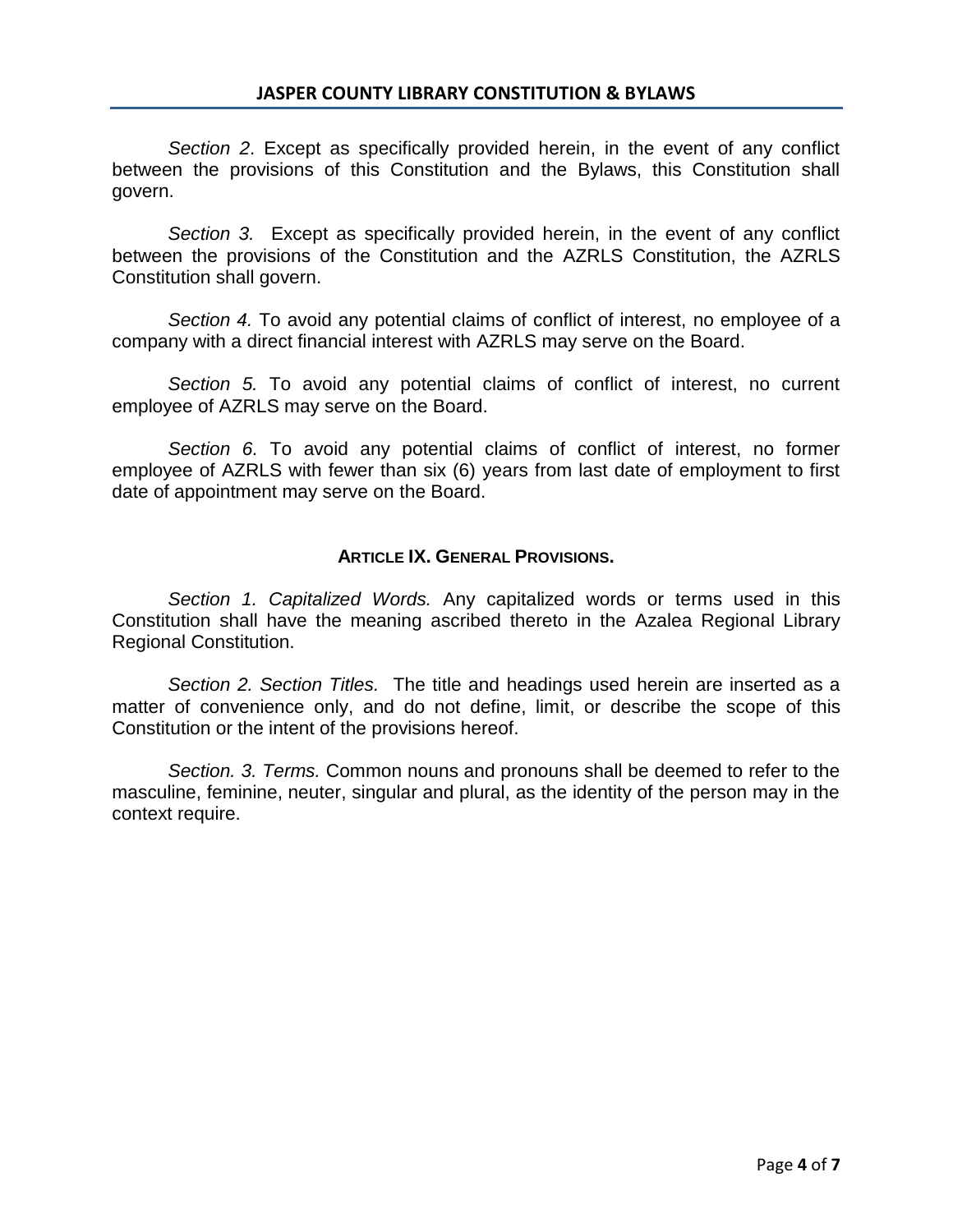*Section 2*. Except as specifically provided herein, in the event of any conflict between the provisions of this Constitution and the Bylaws, this Constitution shall govern.

*Section 3.* Except as specifically provided herein, in the event of any conflict between the provisions of the Constitution and the AZRLS Constitution, the AZRLS Constitution shall govern.

*Section 4.* To avoid any potential claims of conflict of interest, no employee of a company with a direct financial interest with AZRLS may serve on the Board.

*Section 5.* To avoid any potential claims of conflict of interest, no current employee of AZRLS may serve on the Board.

*Section 6.* To avoid any potential claims of conflict of interest, no former employee of AZRLS with fewer than six (6) years from last date of employment to first date of appointment may serve on the Board.

## **ARTICLE IX. GENERAL PROVISIONS.**

*Section 1. Capitalized Words.* Any capitalized words or terms used in this Constitution shall have the meaning ascribed thereto in the Azalea Regional Library Regional Constitution.

*Section 2. Section Titles.* The title and headings used herein are inserted as a matter of convenience only, and do not define, limit, or describe the scope of this Constitution or the intent of the provisions hereof.

*Section. 3. Terms.* Common nouns and pronouns shall be deemed to refer to the masculine, feminine, neuter, singular and plural, as the identity of the person may in the context require.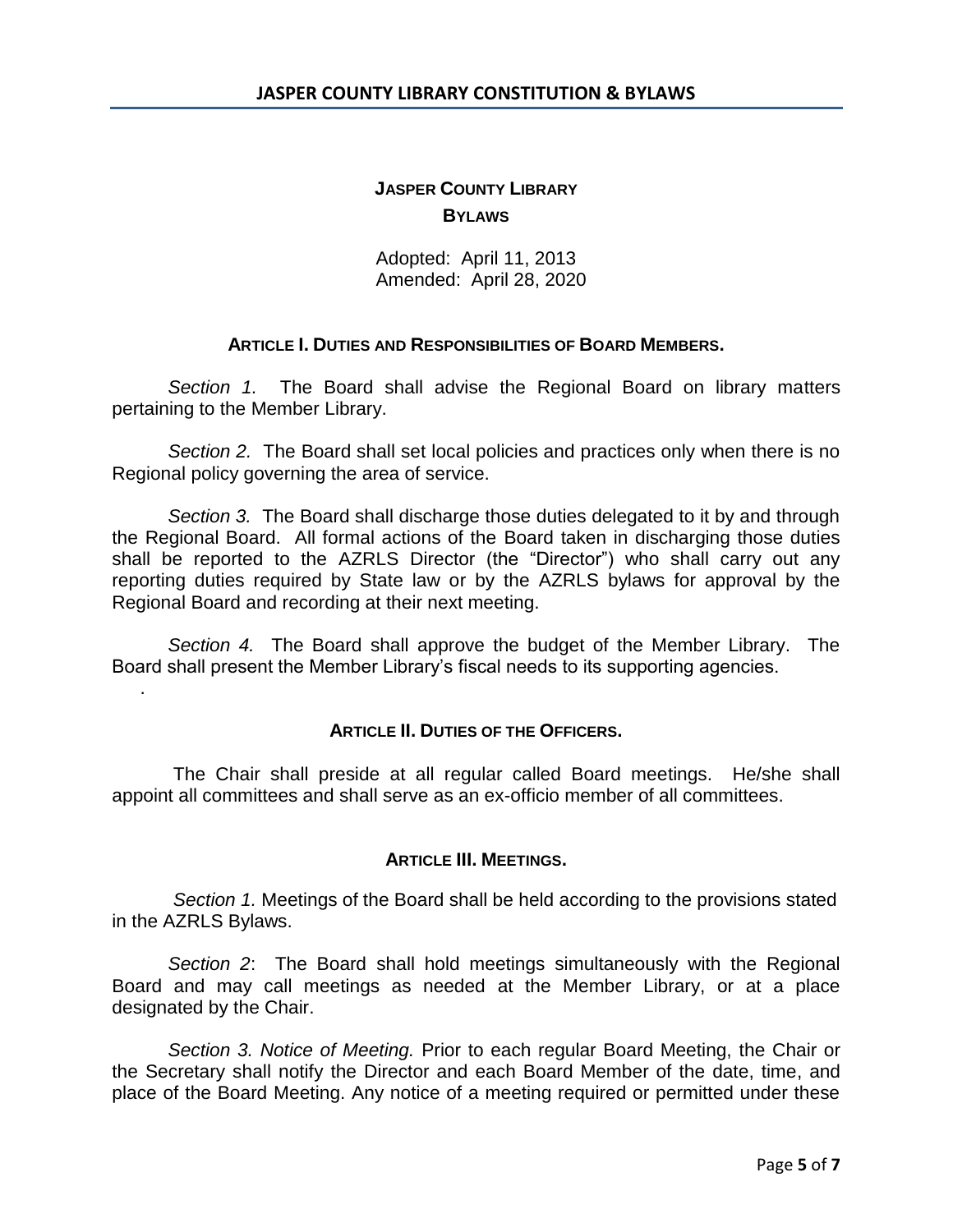# **JASPER COUNTY LIBRARY BYLAWS**

Adopted: April 11, 2013 Amended: April 28, 2020

## **ARTICLE I. DUTIES AND RESPONSIBILITIES OF BOARD MEMBERS.**

*Section 1.* The Board shall advise the Regional Board on library matters pertaining to the Member Library.

*Section 2.* The Board shall set local policies and practices only when there is no Regional policy governing the area of service.

*Section 3.* The Board shall discharge those duties delegated to it by and through the Regional Board. All formal actions of the Board taken in discharging those duties shall be reported to the AZRLS Director (the "Director") who shall carry out any reporting duties required by State law or by the AZRLS bylaws for approval by the Regional Board and recording at their next meeting.

*Section 4.* The Board shall approve the budget of the Member Library. The Board shall present the Member Library's fiscal needs to its supporting agencies.

.

### **ARTICLE II. DUTIES OF THE OFFICERS.**

The Chair shall preside at all regular called Board meetings. He/she shall appoint all committees and shall serve as an ex-officio member of all committees.

### **ARTICLE III. MEETINGS.**

*Section 1.* Meetings of the Board shall be held according to the provisions stated in the AZRLS Bylaws.

*Section 2*: The Board shall hold meetings simultaneously with the Regional Board and may call meetings as needed at the Member Library, or at a place designated by the Chair.

*Section 3. Notice of Meeting.* Prior to each regular Board Meeting, the Chair or the Secretary shall notify the Director and each Board Member of the date, time, and place of the Board Meeting. Any notice of a meeting required or permitted under these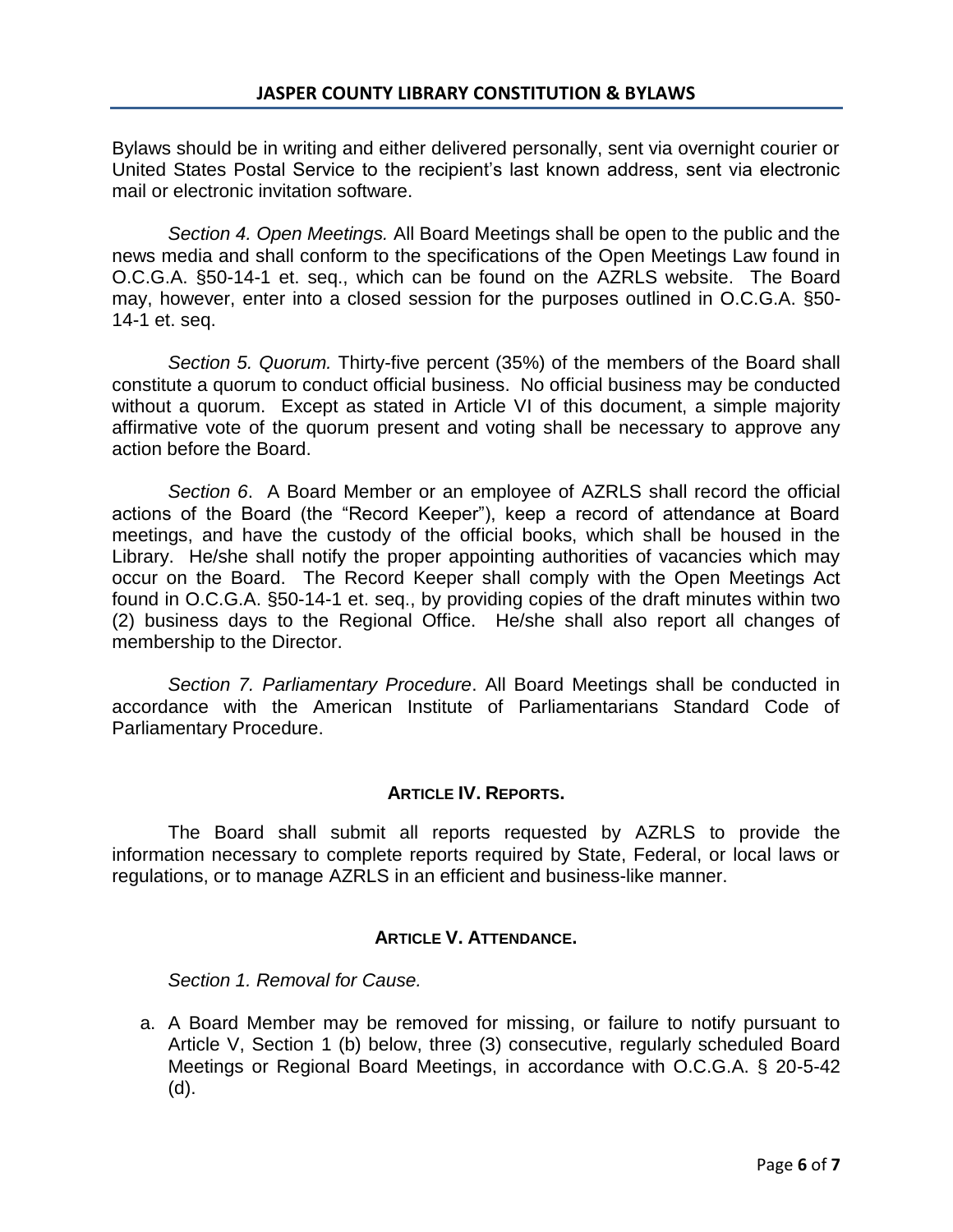Bylaws should be in writing and either delivered personally, sent via overnight courier or United States Postal Service to the recipient's last known address, sent via electronic mail or electronic invitation software.

*Section 4. Open Meetings.* All Board Meetings shall be open to the public and the news media and shall conform to the specifications of the Open Meetings Law found in O.C.G.A. §50-14-1 et. seq., which can be found on the AZRLS website. The Board may, however, enter into a closed session for the purposes outlined in O.C.G.A. §50- 14-1 et. seq.

*Section 5. Quorum.* Thirty-five percent (35%) of the members of the Board shall constitute a quorum to conduct official business. No official business may be conducted without a quorum. Except as stated in Article VI of this document, a simple majority affirmative vote of the quorum present and voting shall be necessary to approve any action before the Board.

*Section 6*. A Board Member or an employee of AZRLS shall record the official actions of the Board (the "Record Keeper"), keep a record of attendance at Board meetings, and have the custody of the official books, which shall be housed in the Library. He/she shall notify the proper appointing authorities of vacancies which may occur on the Board. The Record Keeper shall comply with the Open Meetings Act found in O.C.G.A. §50-14-1 et. seq., by providing copies of the draft minutes within two (2) business days to the Regional Office. He/she shall also report all changes of membership to the Director.

*Section 7. Parliamentary Procedure*. All Board Meetings shall be conducted in accordance with the American Institute of Parliamentarians Standard Code of Parliamentary Procedure.

# **ARTICLE IV. REPORTS.**

The Board shall submit all reports requested by AZRLS to provide the information necessary to complete reports required by State, Federal, or local laws or regulations, or to manage AZRLS in an efficient and business-like manner.

# **ARTICLE V. ATTENDANCE.**

*Section 1. Removal for Cause.*

a. A Board Member may be removed for missing, or failure to notify pursuant to Article V, Section 1 (b) below, three (3) consecutive, regularly scheduled Board Meetings or Regional Board Meetings, in accordance with O.C.G.A. § 20-5-42 (d).